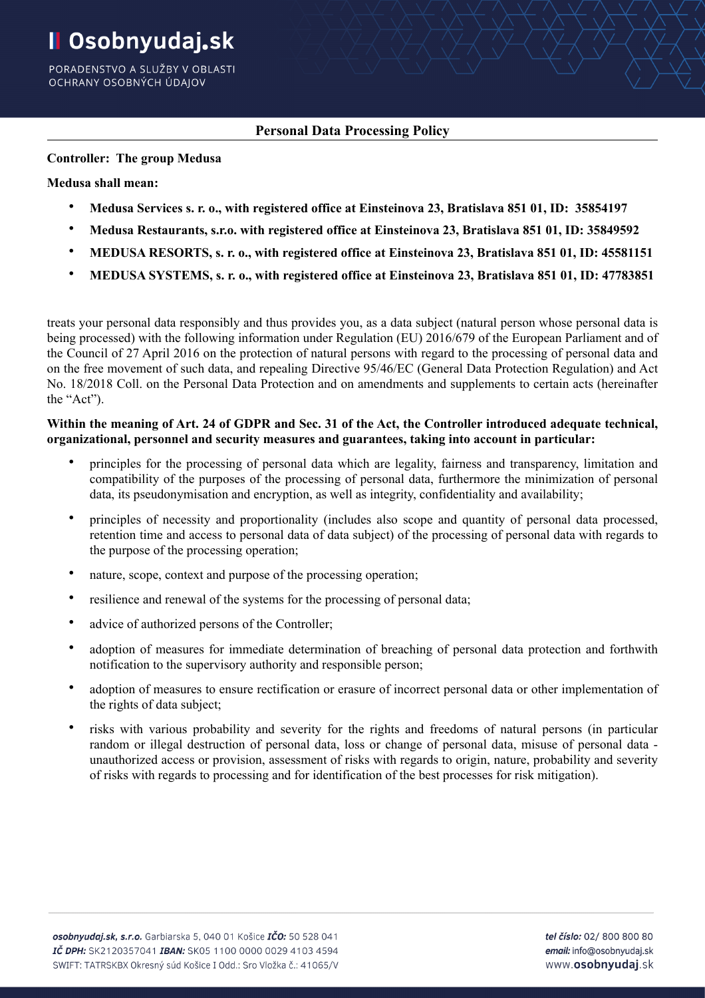PORADENSTVO A SLUŽBY V OBLASTI OCHRANY OSOBNÝCH ÚDAJOV

## **Personal Data Processing Policy**

#### **Controller: The group Medusa**

#### **Medusa shall mean:**

- **Medusa Services s. r. o., with registered office at Einsteinova 23, Bratislava 851 01, ID: 35854197**
- **Medusa Restaurants, s.r.o. with registered office at Einsteinova 23, Bratislava 851 01, ID: 35849592**
- **MEDUSA RESORTS, s. r. o., with registered office at Einsteinova 23, Bratislava 851 01, ID: 45581151**
- **MEDUSA SYSTEMS, s. r. o., with registered office at Einsteinova 23, Bratislava 851 01, ID: 47783851**

treats your personal data responsibly and thus provides you, as a data subject (natural person whose personal data is being processed) with the following information under Regulation (EU) 2016/679 of the European Parliament and of the Council of 27 April 2016 on the protection of natural persons with regard to the processing of personal data and on the free movement of such data, and repealing Directive 95/46/EC (General Data Protection Regulation) and Act No. 18/2018 Coll. on the Personal Data Protection and on amendments and supplements to certain acts (hereinafter the "Act").

#### **Within the meaning of Art. 24 of GDPR and Sec. 31 of the Act, the Controller introduced adequate technical, organizational, personnel and security measures and guarantees, taking into account in particular:**

- principles for the processing of personal data which are legality, fairness and transparency, limitation and compatibility of the purposes of the processing of personal data, furthermore the minimization of personal data, its pseudonymisation and encryption, as well as integrity, confidentiality and availability;
- principles of necessity and proportionality (includes also scope and quantity of personal data processed, retention time and access to personal data of data subject) of the processing of personal data with regards to the purpose of the processing operation;
- nature, scope, context and purpose of the processing operation;
- resilience and renewal of the systems for the processing of personal data;
- advice of authorized persons of the Controller;
- adoption of measures for immediate determination of breaching of personal data protection and forthwith notification to the supervisory authority and responsible person;
- adoption of measures to ensure rectification or erasure of incorrect personal data or other implementation of the rights of data subject;
- risks with various probability and severity for the rights and freedoms of natural persons (in particular random or illegal destruction of personal data, loss or change of personal data, misuse of personal data unauthorized access or provision, assessment of risks with regards to origin, nature, probability and severity of risks with regards to processing and for identification of the best processes for risk mitigation).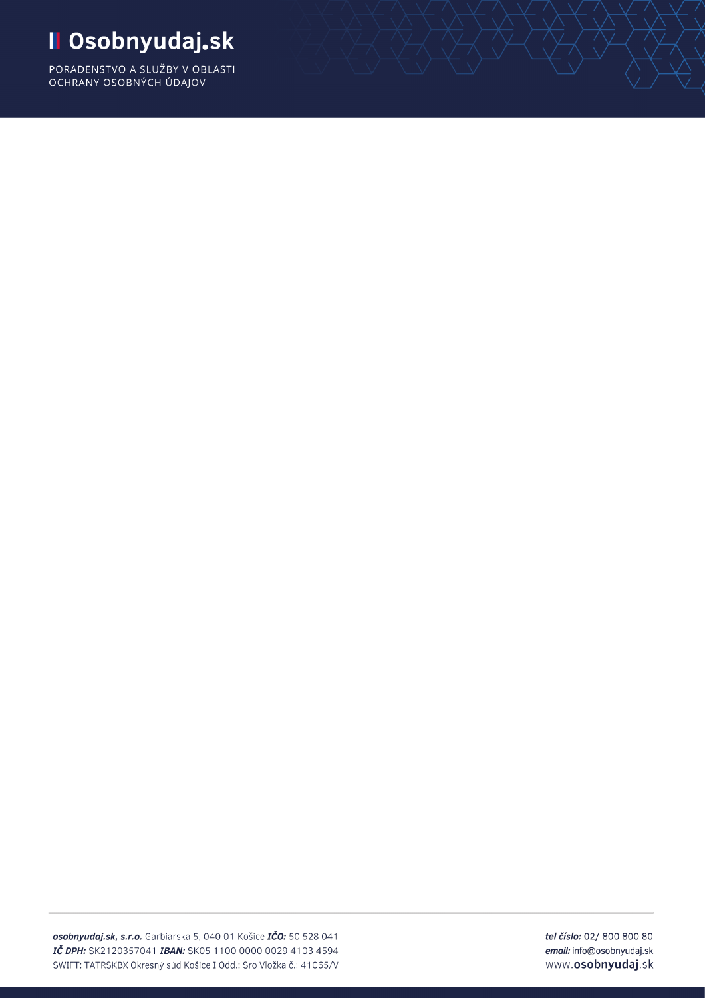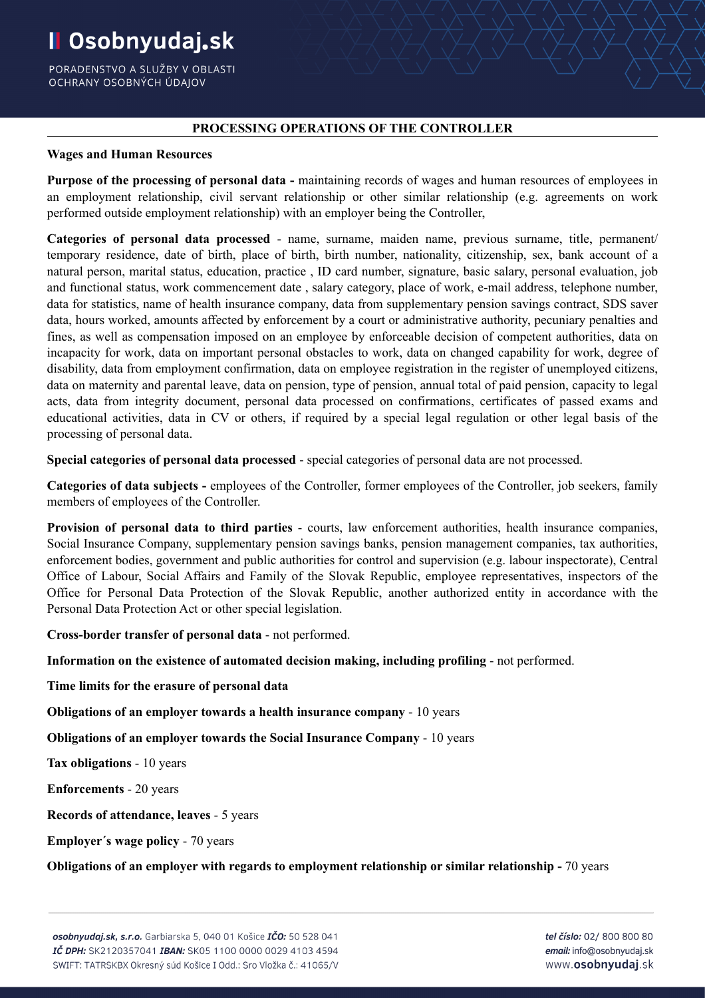PORADENSTVO A SLUŽBY V OBLASTI OCHRANY OSOBNÝCH ÚDAJOV

## **PROCESSING OPERATIONS OF THE CONTROLLER**

#### **Wages and Human Resources**

**Purpose of the processing of personal data -** maintaining records of wages and human resources of employees in an employment relationship, civil servant relationship or other similar relationship (e.g. agreements on work performed outside employment relationship) with an employer being the Controller,

**Categories of personal data processed** - name, surname, maiden name, previous surname, title, permanent/ temporary residence, date of birth, place of birth, birth number, nationality, citizenship, sex, bank account of a natural person, marital status, education, practice , ID card number, signature, basic salary, personal evaluation, job and functional status, work commencement date , salary category, place of work, e-mail address, telephone number, data for statistics, name of health insurance company, data from supplementary pension savings contract, SDS saver data, hours worked, amounts affected by enforcement by a court or administrative authority, pecuniary penalties and fines, as well as compensation imposed on an employee by enforceable decision of competent authorities, data on incapacity for work, data on important personal obstacles to work, data on changed capability for work, degree of disability, data from employment confirmation, data on employee registration in the register of unemployed citizens, data on maternity and parental leave, data on pension, type of pension, annual total of paid pension, capacity to legal acts, data from integrity document, personal data processed on confirmations, certificates of passed exams and educational activities, data in CV or others, if required by a special legal regulation or other legal basis of the processing of personal data.

**Special categories of personal data processed** - special categories of personal data are not processed.

**Categories of data subjects -** employees of the Controller, former employees of the Controller, job seekers, family members of employees of the Controller.

**Provision of personal data to third parties** - courts, law enforcement authorities, health insurance companies, Social Insurance Company, supplementary pension savings banks, pension management companies, tax authorities, enforcement bodies, government and public authorities for control and supervision (e.g. labour inspectorate), Central Office of Labour, Social Affairs and Family of the Slovak Republic, employee representatives, inspectors of the Office for Personal Data Protection of the Slovak Republic, another authorized entity in accordance with the Personal Data Protection Act or other special legislation.

**Cross-border transfer of personal data** - not performed.

**Information on the existence of automated decision making, including profiling** - not performed.

**Time limits for the erasure of personal data**

**Obligations of an employer towards a health insurance company** - 10 years

**Obligations of an employer towards the Social Insurance Company** - 10 years

**Tax obligations** - 10 years

**Enforcements** - 20 years

**Records of attendance, leaves** - 5 years

**Employer´s wage policy** - 70 years

#### **Obligations of an employer with regards to employment relationship or similar relationship -** 70 years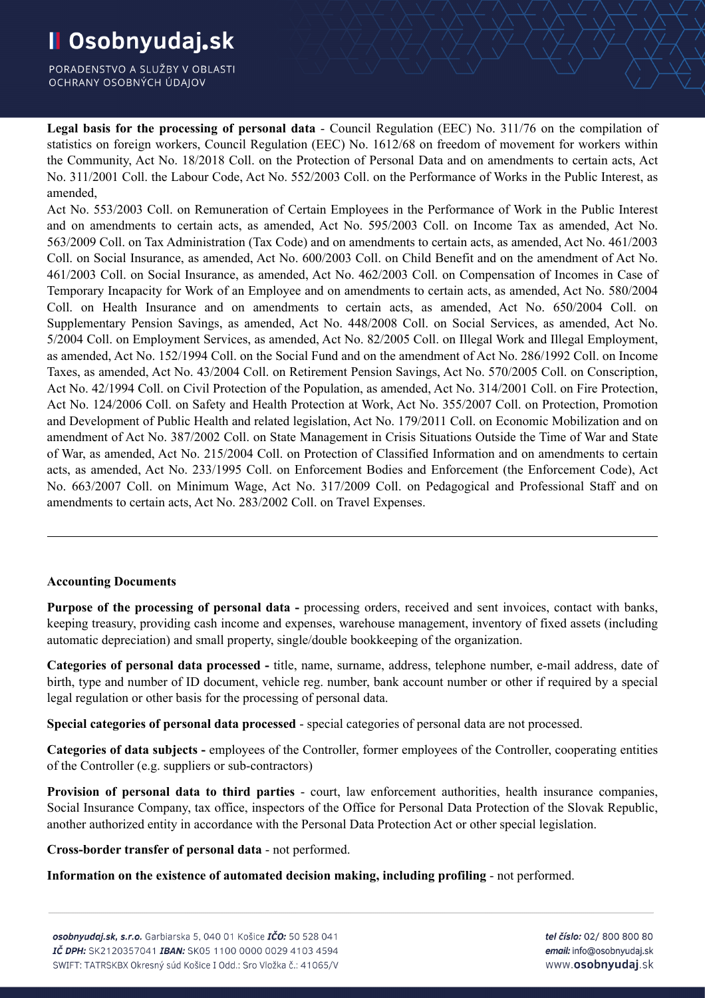PORADENSTVO A SLUŽBY V OBLASTI OCHRANY OSOBNÝCH ÚDAJOV

**Legal basis for the processing of personal data** - Council Regulation (EEC) No. 311/76 on the compilation of statistics on foreign workers, Council Regulation (EEC) No. 1612/68 on freedom of movement for workers within the Community, Act No. 18/2018 Coll. on the Protection of Personal Data and on amendments to certain acts, Act No. 311/2001 Coll. the Labour Code, Act No. 552/2003 Coll. on the Performance of Works in the Public Interest, as amended,

Act No. 553/2003 Coll. on Remuneration of Certain Employees in the Performance of Work in the Public Interest and on amendments to certain acts, as amended, Act No. 595/2003 Coll. on Income Tax as amended, Act No. 563/2009 Coll. on Tax Administration (Tax Code) and on amendments to certain acts, as amended, Act No. 461/2003 Coll. on Social Insurance, as amended, Act No. 600/2003 Coll. on Child Benefit and on the amendment of Act No. 461/2003 Coll. on Social Insurance, as amended, Act No. 462/2003 Coll. on Compensation of Incomes in Case of Temporary Incapacity for Work of an Employee and on amendments to certain acts, as amended, Act No. 580/2004 Coll. on Health Insurance and on amendments to certain acts, as amended, Act No. 650/2004 Coll. on Supplementary Pension Savings, as amended, Act No. 448/2008 Coll. on Social Services, as amended, Act No. 5/2004 Coll. on Employment Services, as amended, Act No. 82/2005 Coll. on Illegal Work and Illegal Employment, as amended, Act No. 152/1994 Coll. on the Social Fund and on the amendment of Act No. 286/1992 Coll. on Income Taxes, as amended, Act No. 43/2004 Coll. on Retirement Pension Savings, Act No. 570/2005 Coll. on Conscription, Act No. 42/1994 Coll. on Civil Protection of the Population, as amended, Act No. 314/2001 Coll. on Fire Protection, Act No. 124/2006 Coll. on Safety and Health Protection at Work, Act No. 355/2007 Coll. on Protection, Promotion and Development of Public Health and related legislation, Act No. 179/2011 Coll. on Economic Mobilization and on amendment of Act No. 387/2002 Coll. on State Management in Crisis Situations Outside the Time of War and State of War, as amended, Act No. 215/2004 Coll. on Protection of Classified Information and on amendments to certain acts, as amended, Act No. 233/1995 Coll. on Enforcement Bodies and Enforcement (the Enforcement Code), Act No. 663/2007 Coll. on Minimum Wage, Act No. 317/2009 Coll. on Pedagogical and Professional Staff and on amendments to certain acts, Act No. 283/2002 Coll. on Travel Expenses.

## **Accounting Documents**

**Purpose of the processing of personal data -** processing orders, received and sent invoices, contact with banks, keeping treasury, providing cash income and expenses, warehouse management, inventory of fixed assets (including automatic depreciation) and small property, single/double bookkeeping of the organization.

**Categories of personal data processed -** title, name, surname, address, telephone number, e-mail address, date of birth, type and number of ID document, vehicle reg. number, bank account number or other if required by a special legal regulation or other basis for the processing of personal data.

**Special categories of personal data processed** - special categories of personal data are not processed.

**Categories of data subjects -** employees of the Controller, former employees of the Controller, cooperating entities of the Controller (e.g. suppliers or sub-contractors)

**Provision of personal data to third parties** - court, law enforcement authorities, health insurance companies, Social Insurance Company, tax office, inspectors of the Office for Personal Data Protection of the Slovak Republic, another authorized entity in accordance with the Personal Data Protection Act or other special legislation.

**Cross-border transfer of personal data** - not performed.

**Information on the existence of automated decision making, including profiling** - not performed.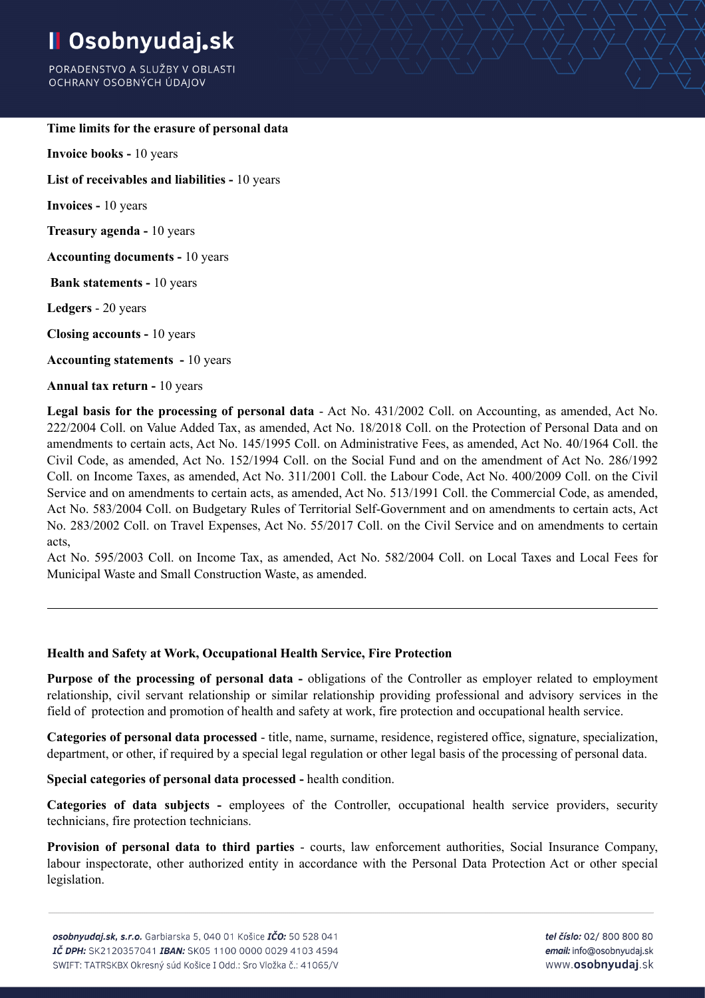PORADENSTVO A SLUŽBY V OBLASTI OCHRANY OSOBNÝCH ÚDAJOV

**Time limits for the erasure of personal data Invoice books -** 10 years **List of receivables and liabilities -** 10 years **Invoices -** 10 years **Treasury agenda -** 10 years **Accounting documents -** 10 years  **Bank statements -** 10 years **Ledgers** - 20 years **Closing accounts -** 10 years **Accounting statements -** 10 years

**Annual tax return -** 10 years

**Legal basis for the processing of personal data** - Act No. 431/2002 Coll. on Accounting, as amended, Act No. 222/2004 Coll. on Value Added Tax, as amended, Act No. 18/2018 Coll. on the Protection of Personal Data and on amendments to certain acts, Act No. 145/1995 Coll. on Administrative Fees, as amended, Act No. 40/1964 Coll. the Civil Code, as amended, Act No. 152/1994 Coll. on the Social Fund and on the amendment of Act No. 286/1992 Coll. on Income Taxes, as amended, Act No. 311/2001 Coll. the Labour Code, Act No. 400/2009 Coll. on the Civil Service and on amendments to certain acts, as amended, Act No. 513/1991 Coll. the Commercial Code, as amended, Act No. 583/2004 Coll. on Budgetary Rules of Territorial Self-Government and on amendments to certain acts, Act No. 283/2002 Coll. on Travel Expenses, Act No. 55/2017 Coll. on the Civil Service and on amendments to certain acts,

Act No. 595/2003 Coll. on Income Tax, as amended, Act No. 582/2004 Coll. on Local Taxes and Local Fees for Municipal Waste and Small Construction Waste, as amended.

## **Health and Safety at Work, Occupational Health Service, Fire Protection**

**Purpose of the processing of personal data -** obligations of the Controller as employer related to employment relationship, civil servant relationship or similar relationship providing professional and advisory services in the field of protection and promotion of health and safety at work, fire protection and occupational health service.

**Categories of personal data processed** - title, name, surname, residence, registered office, signature, specialization, department, or other, if required by a special legal regulation or other legal basis of the processing of personal data.

**Special categories of personal data processed -** health condition.

**Categories of data subjects -** employees of the Controller, occupational health service providers, security technicians, fire protection technicians.

**Provision of personal data to third parties** - courts, law enforcement authorities, Social Insurance Company, labour inspectorate, other authorized entity in accordance with the Personal Data Protection Act or other special legislation.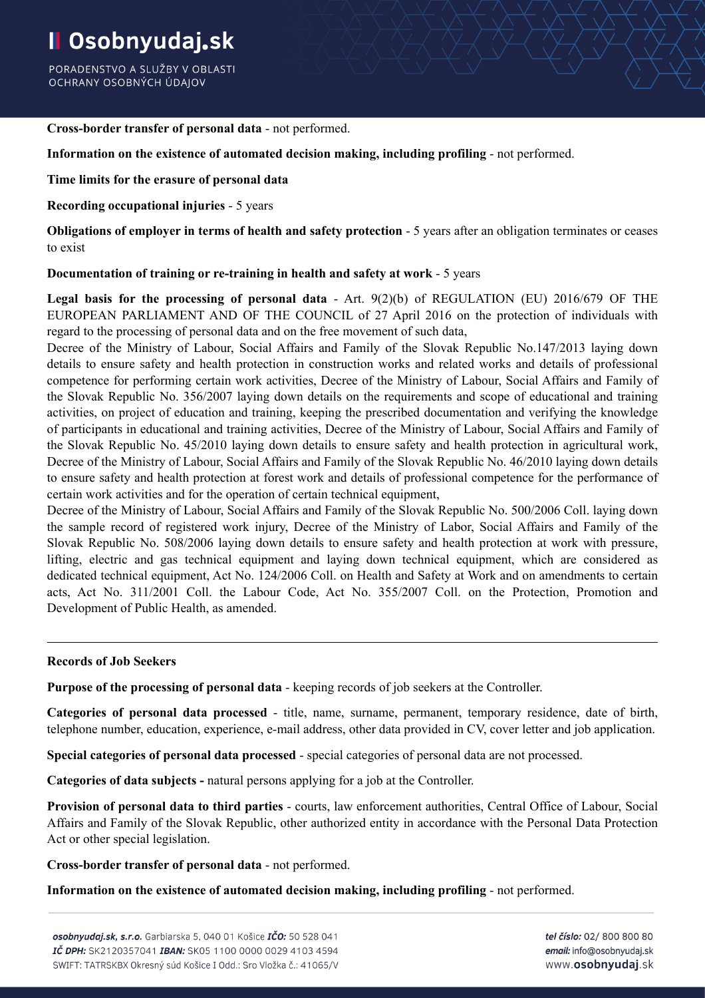PORADENSTVO A SLUŽBY V OBLASTI OCHRANY OSOBNÝCH ÚDAJOV

**Cross-border transfer of personal data** - not performed.

**Information on the existence of automated decision making, including profiling** - not performed.

**Time limits for the erasure of personal data**

**Recording occupational injuries** - 5 years

**Obligations of employer in terms of health and safety protection - 5 years after an obligation terminates or ceases** to exist

### **Documentation of training or re-training in health and safety at work** - 5 years

**Legal basis for the processing of personal data** - Art. 9(2)(b) of REGULATION (EU) 2016/679 OF THE EUROPEAN PARLIAMENT AND OF THE COUNCIL of 27 April 2016 on the protection of individuals with regard to the processing of personal data and on the free movement of such data,

Decree of the Ministry of Labour, Social Affairs and Family of the Slovak Republic No.147/2013 laying down details to ensure safety and health protection in construction works and related works and details of professional competence for performing certain work activities, Decree of the Ministry of Labour, Social Affairs and Family of the Slovak Republic No. 356/2007 laying down details on the requirements and scope of educational and training activities, on project of education and training, keeping the prescribed documentation and verifying the knowledge of participants in educational and training activities, Decree of the Ministry of Labour, Social Affairs and Family of the Slovak Republic No. 45/2010 laying down details to ensure safety and health protection in agricultural work, Decree of the Ministry of Labour, Social Affairs and Family of the Slovak Republic No. 46/2010 laying down details to ensure safety and health protection at forest work and details of professional competence for the performance of certain work activities and for the operation of certain technical equipment,

Decree of the Ministry of Labour, Social Affairs and Family of the Slovak Republic No. 500/2006 Coll. laying down the sample record of registered work injury, Decree of the Ministry of Labor, Social Affairs and Family of the Slovak Republic No. 508/2006 laying down details to ensure safety and health protection at work with pressure, lifting, electric and gas technical equipment and laying down technical equipment, which are considered as dedicated technical equipment, Act No. 124/2006 Coll. on Health and Safety at Work and on amendments to certain acts, Act No. 311/2001 Coll. the Labour Code, Act No. 355/2007 Coll. on the Protection, Promotion and Development of Public Health, as amended.

#### **Records of Job Seekers**

**Purpose of the processing of personal data** - keeping records of job seekers at the Controller.

**Categories of personal data processed** - title, name, surname, permanent, temporary residence, date of birth, telephone number, education, experience, e-mail address, other data provided in CV, cover letter and job application.

**Special categories of personal data processed** - special categories of personal data are not processed.

**Categories of data subjects -** natural persons applying for a job at the Controller.

**Provision of personal data to third parties** - courts, law enforcement authorities, Central Office of Labour, Social Affairs and Family of the Slovak Republic, other authorized entity in accordance with the Personal Data Protection Act or other special legislation.

**Cross-border transfer of personal data** - not performed.

**Information on the existence of automated decision making, including profiling** - not performed.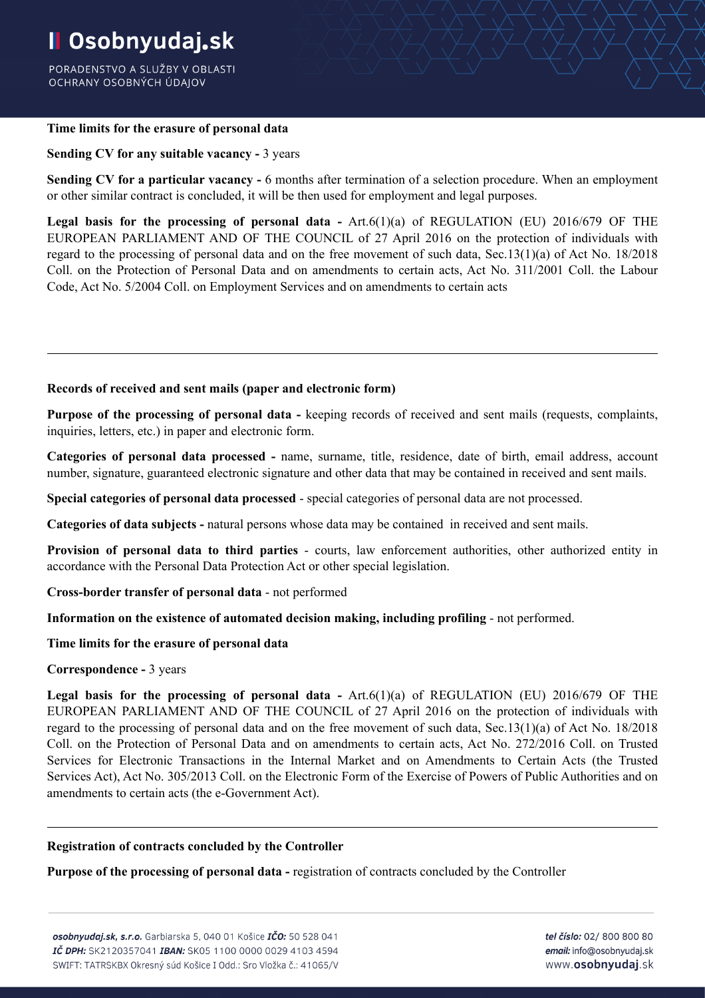#### **Time limits for the erasure of personal data**

#### **Sending CV for any suitable vacancy - 3 years**

**Sending CV for a particular vacancy -** 6 months after termination of a selection procedure. When an employment or other similar contract is concluded, it will be then used for employment and legal purposes.

**Legal basis for the processing of personal data -** Art.6(1)(a) of REGULATION (EU) 2016/679 OF THE EUROPEAN PARLIAMENT AND OF THE COUNCIL of 27 April 2016 on the protection of individuals with regard to the processing of personal data and on the free movement of such data, Sec.13(1)(a) of Act No. 18/2018 Coll. on the Protection of Personal Data and on amendments to certain acts, Act No. 311/2001 Coll. the Labour Code, Act No. 5/2004 Coll. on Employment Services and on amendments to certain acts

### **Records of received and sent mails (paper and electronic form)**

**Purpose of the processing of personal data -** keeping records of received and sent mails (requests, complaints, inquiries, letters, etc.) in paper and electronic form.

**Categories of personal data processed -** name, surname, title, residence, date of birth, email address, account number, signature, guaranteed electronic signature and other data that may be contained in received and sent mails.

**Special categories of personal data processed** - special categories of personal data are not processed.

**Categories of data subjects -** natural persons whose data may be contained in received and sent mails.

**Provision of personal data to third parties** - courts, law enforcement authorities, other authorized entity in accordance with the Personal Data Protection Act or other special legislation.

#### **Cross-border transfer of personal data** - not performed

**Information on the existence of automated decision making, including profiling** - not performed.

## **Time limits for the erasure of personal data**

**Correspondence -** 3 years

**Legal basis for the processing of personal data -** Art.6(1)(a) of REGULATION (EU) 2016/679 OF THE EUROPEAN PARLIAMENT AND OF THE COUNCIL of 27 April 2016 on the protection of individuals with regard to the processing of personal data and on the free movement of such data, Sec.13(1)(a) of Act No. 18/2018 Coll. on the Protection of Personal Data and on amendments to certain acts, Act No. 272/2016 Coll. on Trusted Services for Electronic Transactions in the Internal Market and on Amendments to Certain Acts (the Trusted Services Act), Act No. 305/2013 Coll. on the Electronic Form of the Exercise of Powers of Public Authorities and on amendments to certain acts (the e-Government Act).

## **Registration of contracts concluded by the Controller**

**Purpose of the processing of personal data -** registration of contracts concluded by the Controller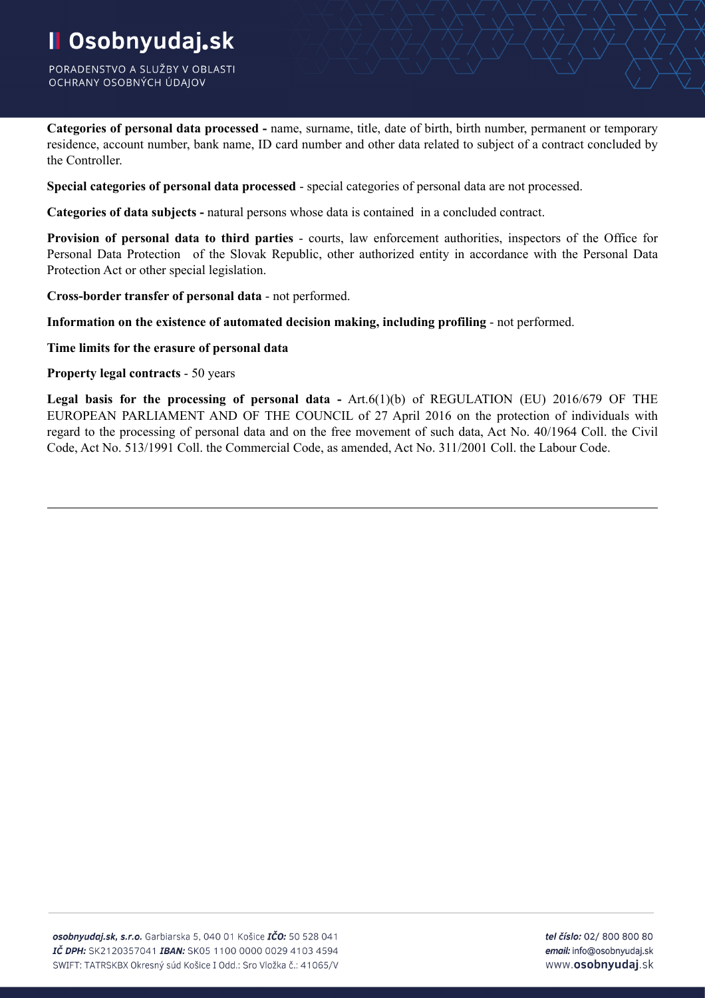PORADENSTVO A SLUŽBY V OBLASTI OCHRANY OSOBNÝCH ÚDAJOV

**Categories of personal data processed -** name, surname, title, date of birth, birth number, permanent or temporary residence, account number, bank name, ID card number and other data related to subject of a contract concluded by the Controller.

**Special categories of personal data processed** - special categories of personal data are not processed.

**Categories of data subjects -** natural persons whose data is contained in a concluded contract.

**Provision of personal data to third parties** - courts, law enforcement authorities, inspectors of the Office for Personal Data Protection of the Slovak Republic, other authorized entity in accordance with the Personal Data Protection Act or other special legislation.

**Cross-border transfer of personal data** - not performed.

**Information on the existence of automated decision making, including profiling** - not performed.

**Time limits for the erasure of personal data**

**Property legal contracts** - 50 years

**Legal basis for the processing of personal data -** Art.6(1)(b) of REGULATION (EU) 2016/679 OF THE EUROPEAN PARLIAMENT AND OF THE COUNCIL of 27 April 2016 on the protection of individuals with regard to the processing of personal data and on the free movement of such data, Act No. 40/1964 Coll. the Civil Code, Act No. 513/1991 Coll. the Commercial Code, as amended, Act No. 311/2001 Coll. the Labour Code.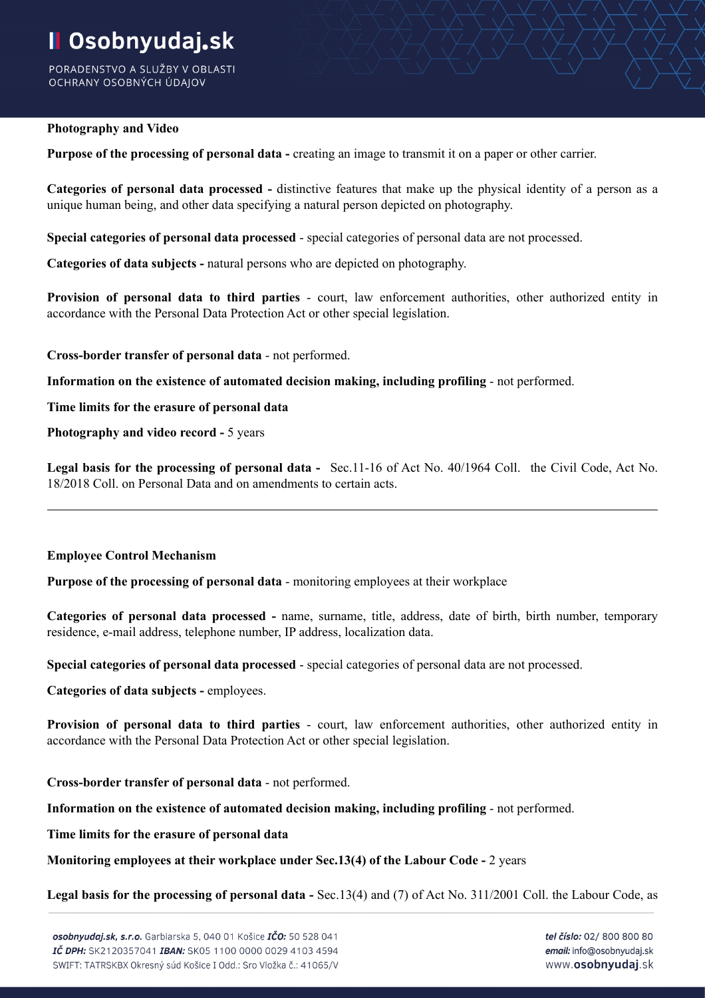## **Photography and Video**

**Purpose of the processing of personal data -** creating an image to transmit it on a paper or other carrier.

**Categories of personal data processed -** distinctive features that make up the physical identity of a person as a unique human being, and other data specifying a natural person depicted on photography.

**Special categories of personal data processed** - special categories of personal data are not processed.

**Categories of data subjects -** natural persons who are depicted on photography.

**Provision of personal data to third parties** - court, law enforcement authorities, other authorized entity in accordance with the Personal Data Protection Act or other special legislation.

**Cross-border transfer of personal data** - not performed.

**Information on the existence of automated decision making, including profiling** - not performed.

**Time limits for the erasure of personal data**

**Photography and video record - 5 years** 

**Legal basis for the processing of personal data -** Sec.11-16 of Act No. 40/1964 Coll. the Civil Code, Act No. 18/2018 Coll. on Personal Data and on amendments to certain acts.

## **Employee Control Mechanism**

**Purpose of the processing of personal data** - monitoring employees at their workplace

**Categories of personal data processed -** name, surname, title, address, date of birth, birth number, temporary residence, e-mail address, telephone number, IP address, localization data.

**Special categories of personal data processed** - special categories of personal data are not processed.

**Categories of data subjects -** employees.

**Provision of personal data to third parties** - court, law enforcement authorities, other authorized entity in accordance with the Personal Data Protection Act or other special legislation.

**Cross-border transfer of personal data** - not performed.

**Information on the existence of automated decision making, including profiling** - not performed.

**Time limits for the erasure of personal data**

**Monitoring employees at their workplace under Sec.13(4) of the Labour Code - 2 years** 

**Legal basis for the processing of personal data -** Sec.13(4) and (7) of Act No. 311/2001 Coll. the Labour Code, as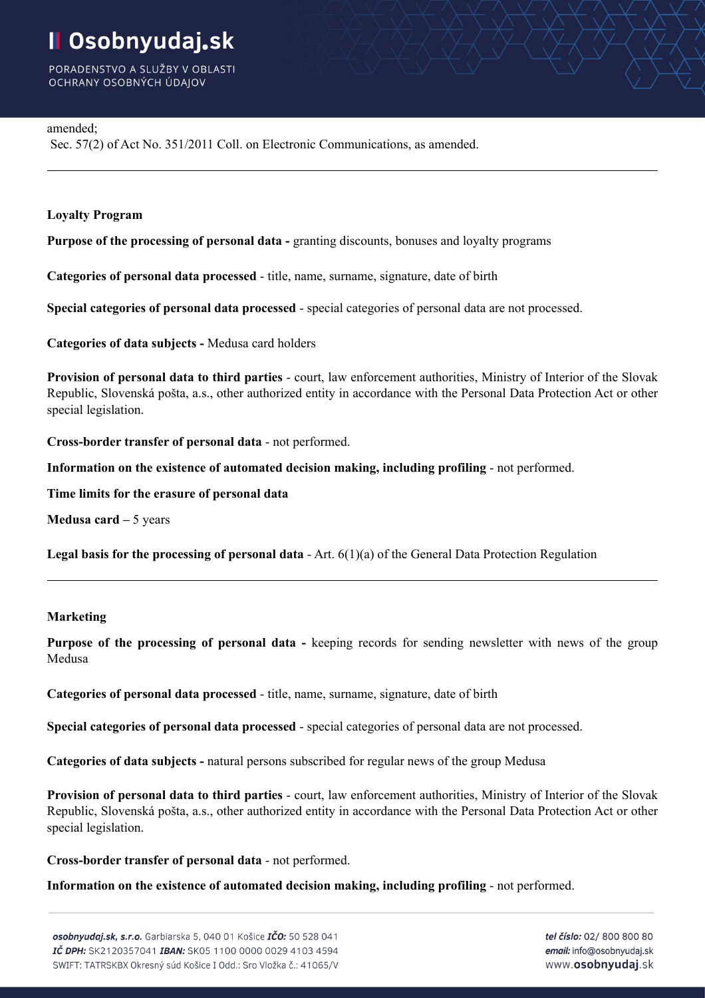PORADENSTVO A SLUŽBY V OBLASTI OCHRANY OSOBNÝCH ÚDAJOV

#### amended;

Sec. 57(2) of Act No. 351/2011 Coll. on Electronic Communications, as amended.

## **Loyalty Program**

**Purpose of the processing of personal data -** granting discounts, bonuses and loyalty programs

**Categories of personal data processed** - title, name, surname, signature, date of birth

**Special categories of personal data processed** - special categories of personal data are not processed.

**Categories of data subjects -** Medusa card holders

**Provision of personal data to third parties** - court, law enforcement authorities, Ministry of Interior of the Slovak Republic, Slovenská pošta, a.s., other authorized entity in accordance with the Personal Data Protection Act or other special legislation.

**Cross-border transfer of personal data** - not performed.

**Information on the existence of automated decision making, including profiling** - not performed.

**Time limits for the erasure of personal data**

**Medusa card – 5 years** 

**Legal basis for the processing of personal data** - Art. 6(1)(a) of the General Data Protection Regulation

## **Marketing**

**Purpose of the processing of personal data -** keeping records for sending newsletter with news of the group Medusa

**Categories of personal data processed** - title, name, surname, signature, date of birth

**Special categories of personal data processed** - special categories of personal data are not processed.

**Categories of data subjects -** natural persons subscribed for regular news of the group Medusa

**Provision of personal data to third parties** - court, law enforcement authorities, Ministry of Interior of the Slovak Republic, Slovenská pošta, a.s., other authorized entity in accordance with the Personal Data Protection Act or other special legislation.

**Cross-border transfer of personal data** - not performed.

**Information on the existence of automated decision making, including profiling** - not performed.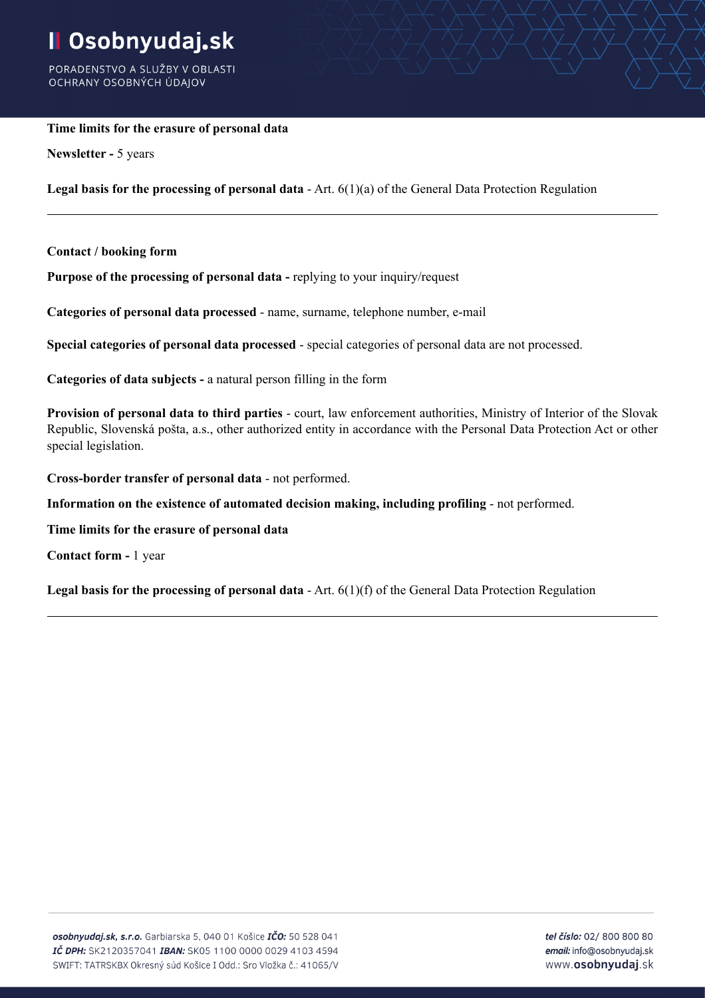PORADENSTVO A SLUŽBY V OBLASTI OCHRANY OSOBNÝCH ÚDAJOV

## **Time limits for the erasure of personal data**

**Newsletter -** 5 years

**Legal basis for the processing of personal data** - Art. 6(1)(a) of the General Data Protection Regulation

**Contact / booking form**

**Purpose of the processing of personal data -** replying to your inquiry/request

**Categories of personal data processed** - name, surname, telephone number, e-mail

**Special categories of personal data processed** - special categories of personal data are not processed.

**Categories of data subjects -** a natural person filling in the form

**Provision of personal data to third parties** - court, law enforcement authorities, Ministry of Interior of the Slovak Republic, Slovenská pošta, a.s., other authorized entity in accordance with the Personal Data Protection Act or other special legislation.

**Cross-border transfer of personal data** - not performed.

**Information on the existence of automated decision making, including profiling** - not performed.

**Time limits for the erasure of personal data**

**Contact form -** 1 year

**Legal basis for the processing of personal data** - Art. 6(1)(f) of the General Data Protection Regulation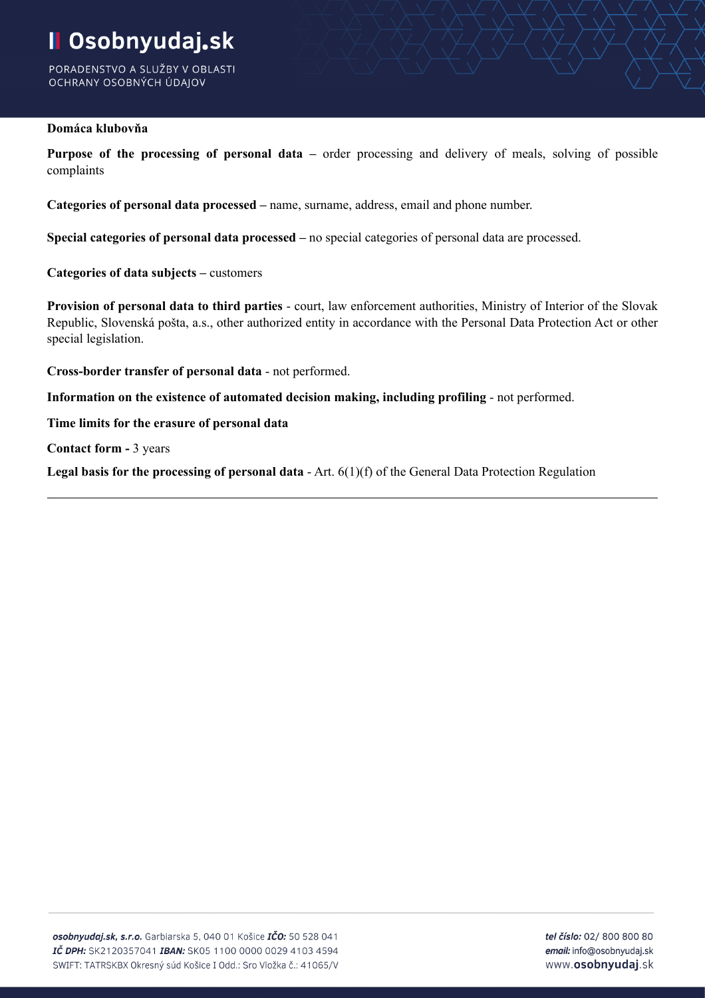## Osobnyudaj.sk ш

PORADENSTVO A SLUŽBY V OBLASTI OCHRANY OSOBNÝCH ÚDAJOV

### **Domáca klubovňa**

**Purpose of the processing of personal data** – order processing and delivery of meals, solving of possible complaints

**Categories of personal data processed –** name, surname, address, email and phone number.

**Special categories of personal data processed –** no special categories of personal data are processed.

**Categories of data subjects –** customers

**Provision of personal data to third parties** - court, law enforcement authorities, Ministry of Interior of the Slovak Republic, Slovenská pošta, a.s., other authorized entity in accordance with the Personal Data Protection Act or other special legislation.

**Cross-border transfer of personal data** - not performed.

**Information on the existence of automated decision making, including profiling** - not performed.

**Time limits for the erasure of personal data**

**Contact form -** 3 years

**Legal basis for the processing of personal data** - Art. 6(1)(f) of the General Data Protection Regulation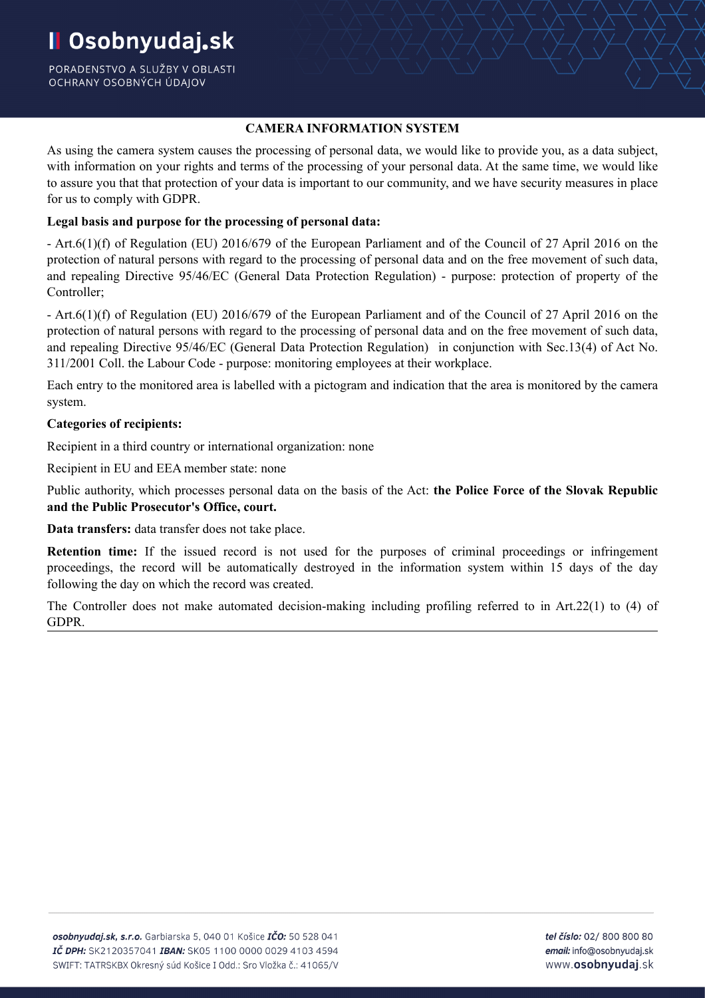## **CAMERA INFORMATION SYSTEM**

As using the camera system causes the processing of personal data, we would like to provide you, as a data subject, with information on your rights and terms of the processing of your personal data. At the same time, we would like to assure you that that protection of your data is important to our community, and we have security measures in place for us to comply with GDPR.

## **Legal basis and purpose for the processing of personal data:**

- Art.6(1)(f) of Regulation (EU) 2016/679 of the European Parliament and of the Council of 27 April 2016 on the protection of natural persons with regard to the processing of personal data and on the free movement of such data, and repealing Directive 95/46/EC (General Data Protection Regulation) - purpose: protection of property of the Controller;

- Art.6(1)(f) of Regulation (EU) 2016/679 of the European Parliament and of the Council of 27 April 2016 on the protection of natural persons with regard to the processing of personal data and on the free movement of such data, and repealing Directive 95/46/EC (General Data Protection Regulation) in conjunction with Sec.13(4) of Act No. 311/2001 Coll. the Labour Code - purpose: monitoring employees at their workplace.

Each entry to the monitored area is labelled with a pictogram and indication that the area is monitored by the camera system.

## **Categories of recipients:**

Recipient in a third country or international organization: none

Recipient in EU and EEA member state: none

Public authority, which processes personal data on the basis of the Act: **the Police Force of the Slovak Republic and the Public Prosecutor's Office, court.**

**Data transfers:** data transfer does not take place.

**Retention time:** If the issued record is not used for the purposes of criminal proceedings or infringement proceedings, the record will be automatically destroyed in the information system within 15 days of the day following the day on which the record was created.

The Controller does not make automated decision-making including profiling referred to in Art.22(1) to (4) of GDPR.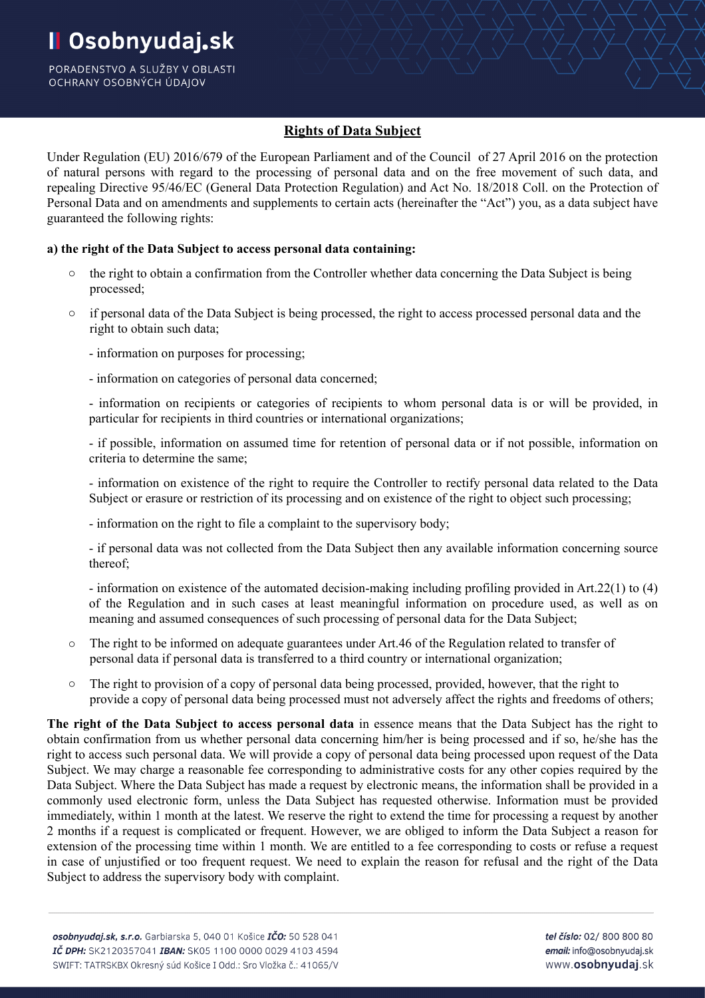## **Rights of Data Subject**

Under Regulation (EU) 2016/679 of the European Parliament and of the Council of 27 April 2016 on the protection of natural persons with regard to the processing of personal data and on the free movement of such data, and repealing Directive 95/46/EC (General Data Protection Regulation) and Act No. 18/2018 Coll. on the Protection of Personal Data and on amendments and supplements to certain acts (hereinafter the "Act") you, as a data subject have guaranteed the following rights:

## **a) the right of the Data Subject to access personal data containing:**

- $\circ$  the right to obtain a confirmation from the Controller whether data concerning the Data Subject is being processed;
- o if personal data of the Data Subject is being processed, the right to access processed personal data and the right to obtain such data;
	- information on purposes for processing;
	- information on categories of personal data concerned;

- information on recipients or categories of recipients to whom personal data is or will be provided, in particular for recipients in third countries or international organizations;

- if possible, information on assumed time for retention of personal data or if not possible, information on criteria to determine the same;

- information on existence of the right to require the Controller to rectify personal data related to the Data Subject or erasure or restriction of its processing and on existence of the right to object such processing;

- information on the right to file a complaint to the supervisory body;

- if personal data was not collected from the Data Subject then any available information concerning source thereof;

- information on existence of the automated decision-making including profiling provided in Art.22(1) to (4) of the Regulation and in such cases at least meaningful information on procedure used, as well as on meaning and assumed consequences of such processing of personal data for the Data Subject;

- o The right to be informed on adequate guarantees under Art.46 of the Regulation related to transfer of personal data if personal data is transferred to a third country or international organization;
- $\circ$  The right to provision of a copy of personal data being processed, provided, however, that the right to provide a copy of personal data being processed must not adversely affect the rights and freedoms of others;

**The right of the Data Subject to access personal data** in essence means that the Data Subject has the right to obtain confirmation from us whether personal data concerning him/her is being processed and if so, he/she has the right to access such personal data. We will provide a copy of personal data being processed upon request of the Data Subject. We may charge a reasonable fee corresponding to administrative costs for any other copies required by the Data Subject. Where the Data Subject has made a request by electronic means, the information shall be provided in a commonly used electronic form, unless the Data Subject has requested otherwise. Information must be provided immediately, within 1 month at the latest. We reserve the right to extend the time for processing a request by another 2 months if a request is complicated or frequent. However, we are obliged to inform the Data Subject a reason for extension of the processing time within 1 month. We are entitled to a fee corresponding to costs or refuse a request in case of unjustified or too frequent request. We need to explain the reason for refusal and the right of the Data Subject to address the supervisory body with complaint.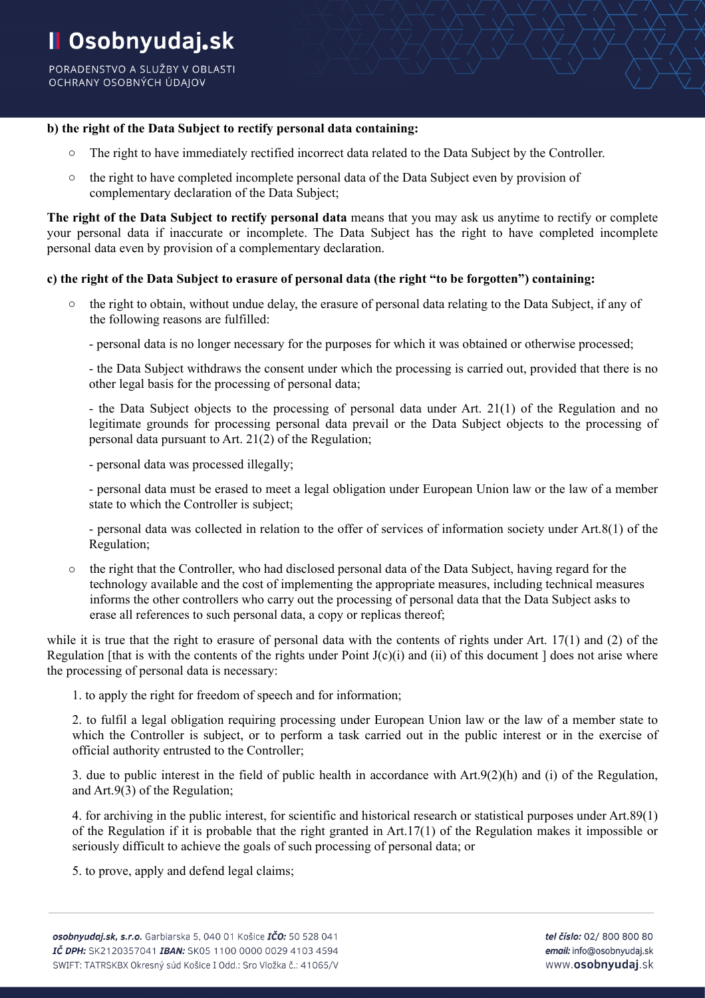OCHRANY OSOBNÝCH ÚDAJOV

#### **b) the right of the Data Subject to rectify personal data containing:**

- o The right to have immediately rectified incorrect data related to the Data Subject by the Controller.
- o the right to have completed incomplete personal data of the Data Subject even by provision of complementary declaration of the Data Subject;

**The right of the Data Subject to rectify personal data** means that you may ask us anytime to rectify or complete your personal data if inaccurate or incomplete. The Data Subject has the right to have completed incomplete personal data even by provision of a complementary declaration.

### **c) the right of the Data Subject to erasure of personal data (the right "to be forgotten") containing:**

- o the right to obtain, without undue delay, the erasure of personal data relating to the Data Subject, if any of the following reasons are fulfilled:
	- personal data is no longer necessary for the purposes for which it was obtained or otherwise processed;

- the Data Subject withdraws the consent under which the processing is carried out, provided that there is no other legal basis for the processing of personal data;

- the Data Subject objects to the processing of personal data under Art. 21(1) of the Regulation and no legitimate grounds for processing personal data prevail or the Data Subject objects to the processing of personal data pursuant to Art. 21(2) of the Regulation;

- personal data was processed illegally;

- personal data must be erased to meet a legal obligation under European Union law or the law of a member state to which the Controller is subject;

- personal data was collected in relation to the offer of services of information society under Art.8(1) of the Regulation;

 $\circ$  the right that the Controller, who had disclosed personal data of the Data Subject, having regard for the technology available and the cost of implementing the appropriate measures, including technical measures informs the other controllers who carry out the processing of personal data that the Data Subject asks to erase all references to such personal data, a copy or replicas thereof;

while it is true that the right to erasure of personal data with the contents of rights under Art. 17(1) and (2) of the Regulation [that is with the contents of the rights under Point  $J(c)(i)$  and (ii) of this document  $\vert$  does not arise where the processing of personal data is necessary:

1. to apply the right for freedom of speech and for information;

2. to fulfil a legal obligation requiring processing under European Union law or the law of a member state to which the Controller is subject, or to perform a task carried out in the public interest or in the exercise of official authority entrusted to the Controller;

3. due to public interest in the field of public health in accordance with Art.9(2)(h) and (i) of the Regulation, and Art.9(3) of the Regulation;

4. for archiving in the public interest, for scientific and historical research or statistical purposes under Art.89(1) of the Regulation if it is probable that the right granted in Art.17(1) of the Regulation makes it impossible or seriously difficult to achieve the goals of such processing of personal data; or

5. to prove, apply and defend legal claims;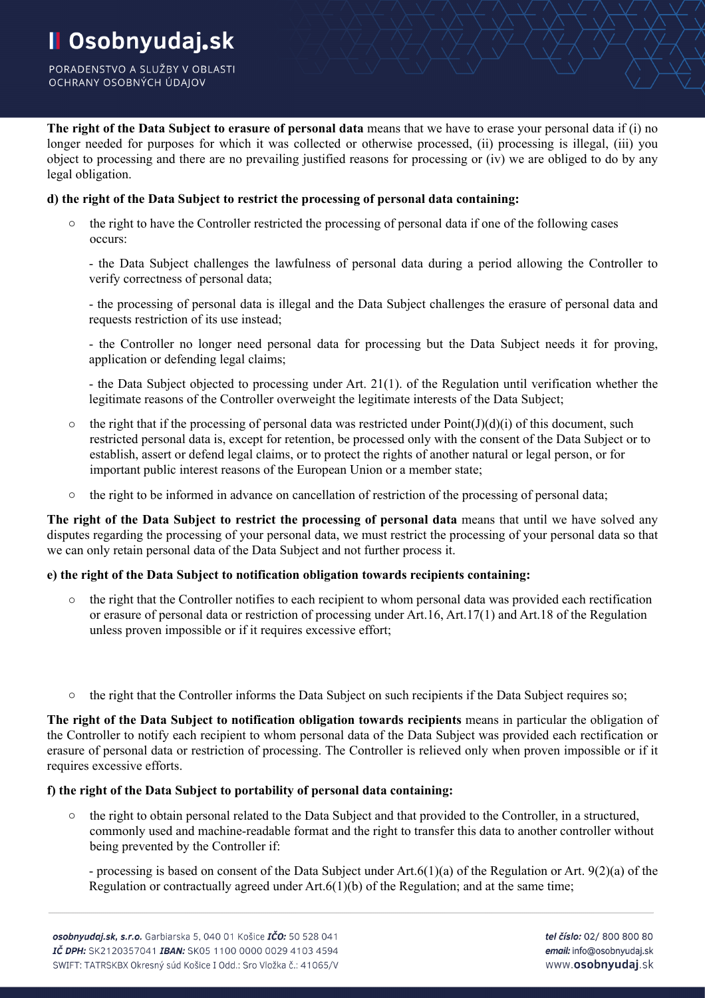PORADENSTVO A SLUŽBY V OBLASTI OCHRANY OSOBNÝCH ÚDAJOV

**The right of the Data Subject to erasure of personal data** means that we have to erase your personal data if (i) no longer needed for purposes for which it was collected or otherwise processed, (ii) processing is illegal, (iii) you object to processing and there are no prevailing justified reasons for processing or (iv) we are obliged to do by any legal obligation.

### **d) the right of the Data Subject to restrict the processing of personal data containing:**

 $\circ$  the right to have the Controller restricted the processing of personal data if one of the following cases occurs:

- the Data Subject challenges the lawfulness of personal data during a period allowing the Controller to verify correctness of personal data;

- the processing of personal data is illegal and the Data Subject challenges the erasure of personal data and requests restriction of its use instead;

- the Controller no longer need personal data for processing but the Data Subject needs it for proving, application or defending legal claims;

- the Data Subject objected to processing under Art. 21(1). of the Regulation until verification whether the legitimate reasons of the Controller overweight the legitimate interests of the Data Subject;

- $\circ$  the right that if the processing of personal data was restricted under Point(J)(d)(i) of this document, such restricted personal data is, except for retention, be processed only with the consent of the Data Subject or to establish, assert or defend legal claims, or to protect the rights of another natural or legal person, or for important public interest reasons of the European Union or a member state;
- o the right to be informed in advance on cancellation of restriction of the processing of personal data;

**The right of the Data Subject to restrict the processing of personal data** means that until we have solved any disputes regarding the processing of your personal data, we must restrict the processing of your personal data so that we can only retain personal data of the Data Subject and not further process it.

## **e) the right of the Data Subject to notification obligation towards recipients containing:**

- $\circ$  the right that the Controller notifies to each recipient to whom personal data was provided each rectification or erasure of personal data or restriction of processing under Art.16, Art.17(1) and Art.18 of the Regulation unless proven impossible or if it requires excessive effort;
- o the right that the Controller informs the Data Subject on such recipients if the Data Subject requires so;

**The right of the Data Subject to notification obligation towards recipients** means in particular the obligation of the Controller to notify each recipient to whom personal data of the Data Subject was provided each rectification or erasure of personal data or restriction of processing. The Controller is relieved only when proven impossible or if it requires excessive efforts.

#### **f) the right of the Data Subject to portability of personal data containing:**

o the right to obtain personal related to the Data Subject and that provided to the Controller, in a structured, commonly used and machine-readable format and the right to transfer this data to another controller without being prevented by the Controller if:

- processing is based on consent of the Data Subject under Art.6(1)(a) of the Regulation or Art. 9(2)(a) of the Regulation or contractually agreed under  $Art.6(1)(b)$  of the Regulation; and at the same time;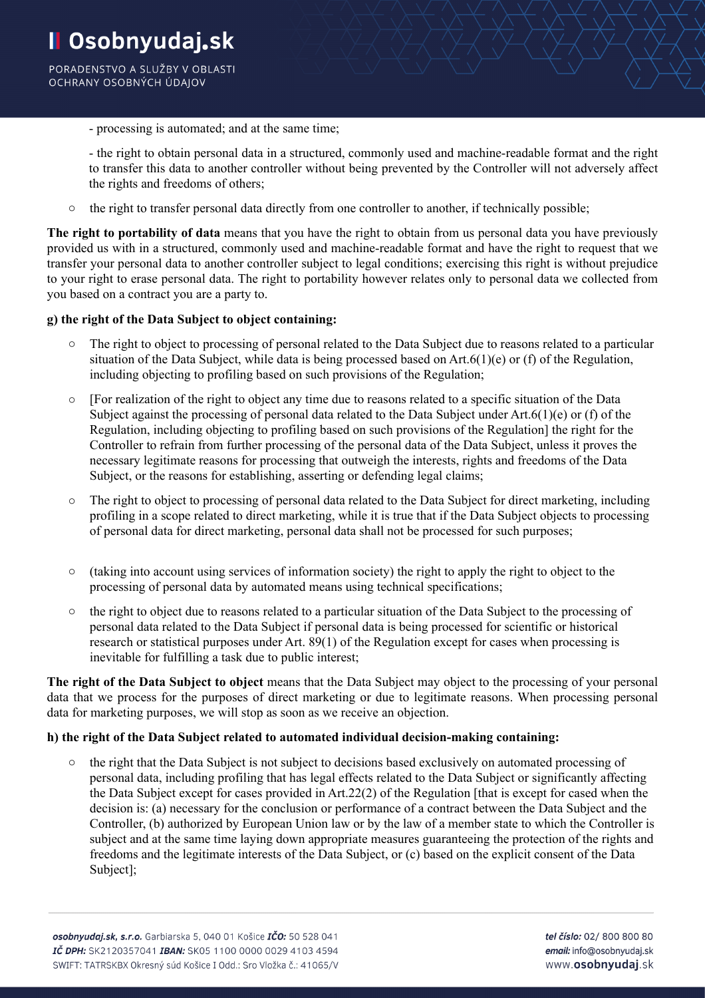- 
- processing is automated; and at the same time;

- the right to obtain personal data in a structured, commonly used and machine-readable format and the right to transfer this data to another controller without being prevented by the Controller will not adversely affect the rights and freedoms of others;

o the right to transfer personal data directly from one controller to another, if technically possible;

**The right to portability of data** means that you have the right to obtain from us personal data you have previously provided us with in a structured, commonly used and machine-readable format and have the right to request that we transfer your personal data to another controller subject to legal conditions; exercising this right is without prejudice to your right to erase personal data. The right to portability however relates only to personal data we collected from you based on a contract you are a party to.

### **g) the right of the Data Subject to object containing:**

- o The right to object to processing of personal related to the Data Subject due to reasons related to a particular situation of the Data Subject, while data is being processed based on  $Art.6(1)(e)$  or (f) of the Regulation, including objecting to profiling based on such provisions of the Regulation;
- o [For realization of the right to object any time due to reasons related to a specific situation of the Data Subject against the processing of personal data related to the Data Subject under Art.6(1)(e) or (f) of the Regulation, including objecting to profiling based on such provisions of the Regulation] the right for the Controller to refrain from further processing of the personal data of the Data Subject, unless it proves the necessary legitimate reasons for processing that outweigh the interests, rights and freedoms of the Data Subject, or the reasons for establishing, asserting or defending legal claims;
- o The right to object to processing of personal data related to the Data Subject for direct marketing, including profiling in a scope related to direct marketing, while it is true that if the Data Subject objects to processing of personal data for direct marketing, personal data shall not be processed for such purposes;
- o (taking into account using services of information society) the right to apply the right to object to the processing of personal data by automated means using technical specifications;
- $\circ$  the right to object due to reasons related to a particular situation of the Data Subject to the processing of personal data related to the Data Subject if personal data is being processed for scientific or historical research or statistical purposes under Art. 89(1) of the Regulation except for cases when processing is inevitable for fulfilling a task due to public interest;

**The right of the Data Subject to object** means that the Data Subject may object to the processing of your personal data that we process for the purposes of direct marketing or due to legitimate reasons. When processing personal data for marketing purposes, we will stop as soon as we receive an objection.

#### **h) the right of the Data Subject related to automated individual decision-making containing:**

the right that the Data Subject is not subject to decisions based exclusively on automated processing of personal data, including profiling that has legal effects related to the Data Subject or significantly affecting the Data Subject except for cases provided in Art.22(2) of the Regulation [that is except for cased when the decision is: (a) necessary for the conclusion or performance of a contract between the Data Subject and the Controller, (b) authorized by European Union law or by the law of a member state to which the Controller is subject and at the same time laying down appropriate measures guaranteeing the protection of the rights and freedoms and the legitimate interests of the Data Subject, or (c) based on the explicit consent of the Data Subject];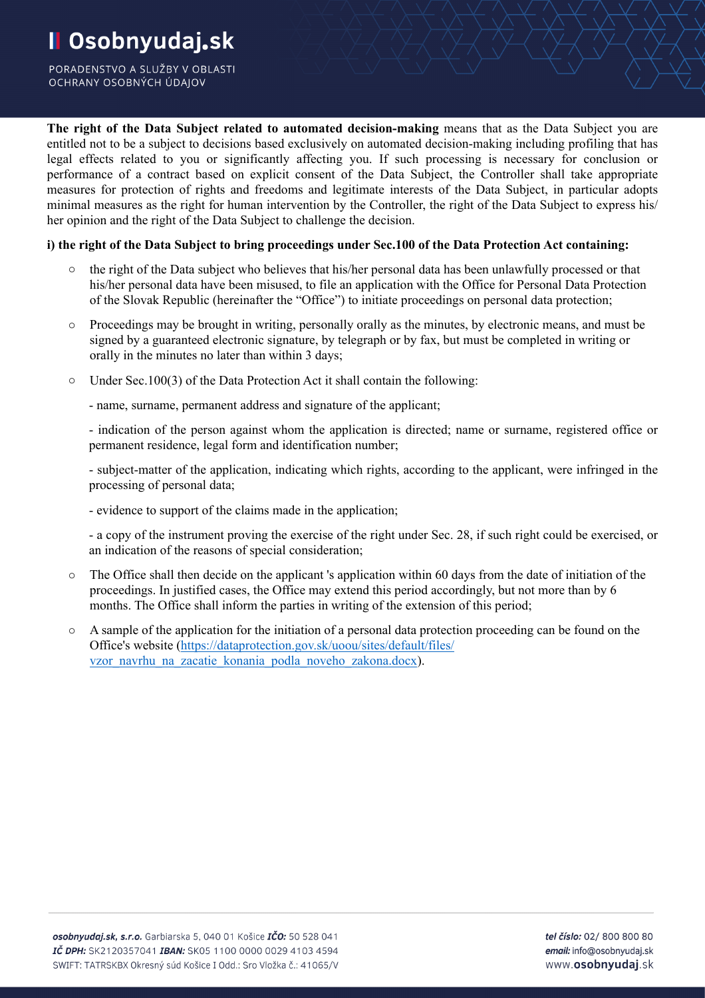PORADENSTVO A SLUŽBY V OBLASTI OCHRANY OSOBNÝCH ÚDAJOV

**The right of the Data Subject related to automated decision-making** means that as the Data Subject you are entitled not to be a subject to decisions based exclusively on automated decision-making including profiling that has legal effects related to you or significantly affecting you. If such processing is necessary for conclusion or performance of a contract based on explicit consent of the Data Subject, the Controller shall take appropriate measures for protection of rights and freedoms and legitimate interests of the Data Subject, in particular adopts minimal measures as the right for human intervention by the Controller, the right of the Data Subject to express his/ her opinion and the right of the Data Subject to challenge the decision.

### **i) the right of the Data Subject to bring proceedings under Sec.100 of the Data Protection Act containing:**

- the right of the Data subject who believes that his/her personal data has been unlawfully processed or that his/her personal data have been misused, to file an application with the Office for Personal Data Protection of the Slovak Republic (hereinafter the "Office") to initiate proceedings on personal data protection;
- o Proceedings may be brought in writing, personally orally as the minutes, by electronic means, and must be signed by a guaranteed electronic signature, by telegraph or by fax, but must be completed in writing or orally in the minutes no later than within 3 days;
- o Under Sec.100(3) of the Data Protection Act it shall contain the following:

- name, surname, permanent address and signature of the applicant;

- indication of the person against whom the application is directed; name or surname, registered office or permanent residence, legal form and identification number;

- subject-matter of the application, indicating which rights, according to the applicant, were infringed in the processing of personal data;

- evidence to support of the claims made in the application;

- a copy of the instrument proving the exercise of the right under Sec. 28, if such right could be exercised, or an indication of the reasons of special consideration;

- $\circ$  The Office shall then decide on the applicant 's application within 60 days from the date of initiation of the proceedings. In justified cases, the Office may extend this period accordingly, but not more than by 6 months. The Office shall inform the parties in writing of the extension of this period;
- o A sample of the application for the initiation of a personal data protection proceeding can be found on the [Office](https://dataprotection.gov.sk/uoou/sites/default/files/vzor_navrhu_na_zacatie_konania_podla_noveho_zakona.docx)'[s website \(https://dataprotection.gov.sk/uoou/sites/default/files/](https://dataprotection.gov.sk/uoou/sites/default/files/vzor_navrhu_na_zacatie_konania_podla_noveho_zakona.docx) [vzor\\_navrhu\\_na\\_zacatie\\_konania\\_podla\\_noveho\\_zakona.docx](https://dataprotection.gov.sk/uoou/sites/default/files/vzor_navrhu_na_zacatie_konania_podla_noveho_zakona.docx)).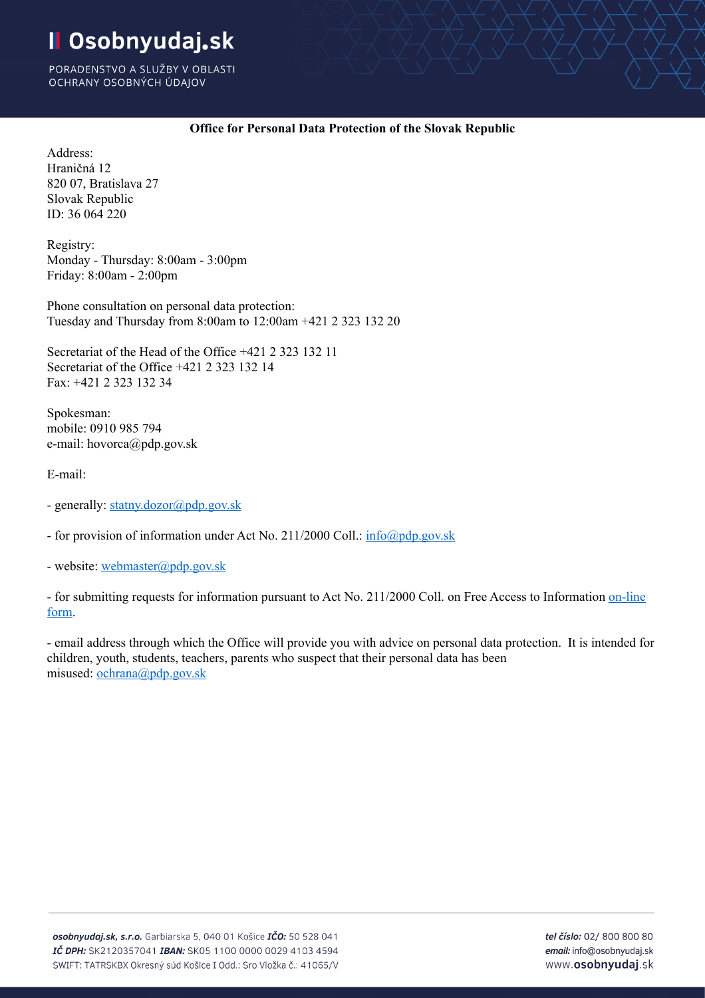PORADENSTVO A SLUŽBY V OBLASTI OCHRANY OSOBNÝCH ÚDAJOV

## **Office for Personal Data Protection of the Slovak Republic**

Address: Hraničná 12 820 07, Bratislava 27 Slovak Republic ID: 36 064 220

Registry: Monday - Thursday: 8:00am - 3:00pm Friday: 8:00am - 2:00pm

Phone consultation on personal data protection: Tuesday and Thursday from 8:00am to 12:00am +421 2 323 132 20

Secretariat of the Head of the Office +421 2 323 132 11 Secretariat of the Office +421 2 323 132 14 Fax: +421 2 323 132 34

Spokesman: mobile: 0910 985 794 e-mail: hovorca@pdp.gov.sk

E-mail:

- generally: [statny.dozor@pdp.gov.sk](mailto:statny.dozor@pdp.gov.sk)

- for provision of information under Act No. 211/2000 Coll.: [info@pdp.gov.sk](mailto:info@pdp.gov.sk)

- website: [webmaster@pdp.gov.sk](mailto:webmaster@pdp.gov.sk)

- for submitting requests for information pursuant to Act No. 211/2000 Coll. on Free Access to Information [on-line](https://dataprotection.gov.sk/uoou/node/49)  [form](https://dataprotection.gov.sk/uoou/node/49).

- email address through which the Office will provide you with advice on personal data protection. It is intended for children, youth, students, teachers, parents who suspect that their personal data has been misused: [ochrana@pdp.gov.sk](mailto:ochrana@pdp.gov.sk)